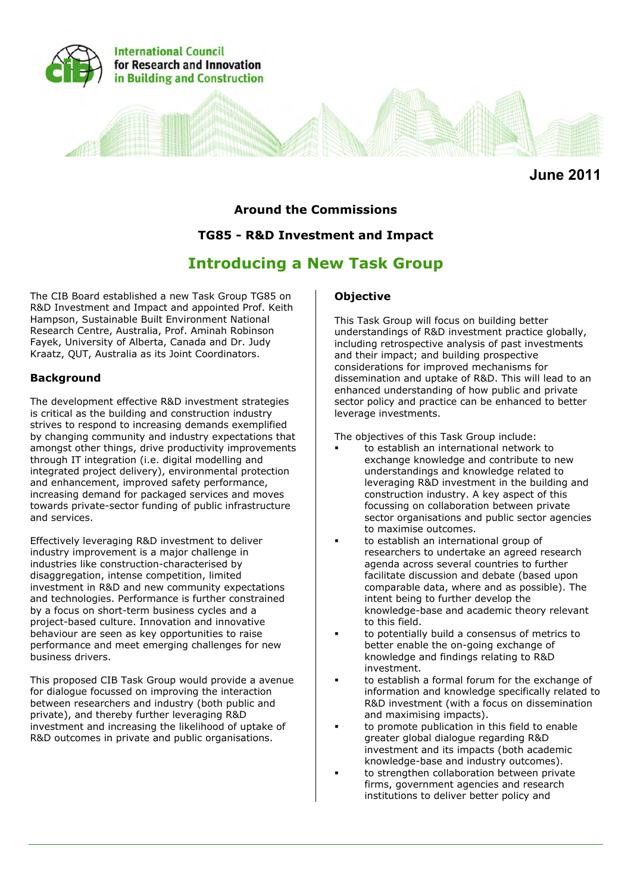

**June 2011**

# **Around the Commissions**

# **TG85 - R&D Investment and Impact**

# **Introducing a New Task Group**

The CIB Board established a new Task Group TG85 on R&D Investment and Impact and appointed Prof. Keith Hampson, Sustainable Built Environment National Research Centre, Australia, Prof. Aminah Robinson Fayek, University of Alberta, Canada and Dr. Judy Kraatz, QUT, Australia as its Joint Coordinators.

#### **Background**

The development effective R&D investment strategies is critical as the building and construction industry strives to respond to increasing demands exemplified by changing community and industry expectations that amongst other things, drive productivity improvements through IT integration (i.e. digital modelling and integrated project delivery), environmental protection and enhancement, improved safety performance, increasing demand for packaged services and moves towards private-sector funding of public infrastructure and services.

Effectively leveraging R&D investment to deliver industry improvement is a major challenge in industries like construction-characterised by disaggregation, intense competition, limited investment in R&D and new community expectations and technologies. Performance is further constrained by a focus on short-term business cycles and a project-based culture. Innovation and innovative behaviour are seen as key opportunities to raise performance and meet emerging challenges for new business drivers.

This proposed CIB Task Group would provide a avenue for dialogue focussed on improving the interaction between researchers and industry (both public and private), and thereby further leveraging R&D investment and increasing the likelihood of uptake of R&D outcomes in private and public organisations.

#### **Objective**

This Task Group will focus on building better understandings of R&D investment practice globally, including retrospective analysis of past investments and their impact; and building prospective considerations for improved mechanisms for dissemination and uptake of R&D. This will lead to an enhanced understanding of how public and private sector policy and practice can be enhanced to better leverage investments.

The objectives of this Task Group include:

- to establish an international network to exchange knowledge and contribute to new understandings and knowledge related to leveraging R&D investment in the building and construction industry. A key aspect of this focussing on collaboration between private sector organisations and public sector agencies to maximise outcomes.
- to establish an international group of researchers to undertake an agreed research agenda across several countries to further facilitate discussion and debate (based upon comparable data, where and as possible). The intent being to further develop the knowledge-base and academic theory relevant to this field.
- to potentially build a consensus of metrics to better enable the on-going exchange of knowledge and findings relating to R&D investment.
- to establish a formal forum for the exchange of information and knowledge specifically related to R&D investment (with a focus on dissemination and maximising impacts).
- to promote publication in this field to enable greater global dialogue regarding R&D investment and its impacts (both academic knowledge-base and industry outcomes).
- to strengthen collaboration between private firms, government agencies and research institutions to deliver better policy and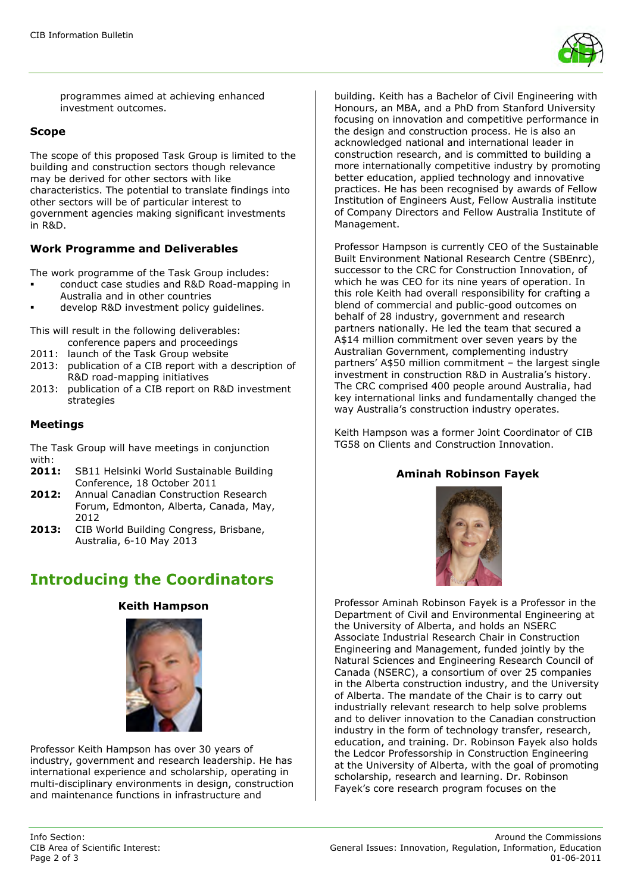

programmes aimed at achieving enhanced investment outcomes.

#### **Scope**

The scope of this proposed Task Group is limited to the building and construction sectors though relevance may be derived for other sectors with like characteristics. The potential to translate findings into other sectors will be of particular interest to government agencies making significant investments in R&D.

### **Work Programme and Deliverables**

The work programme of the Task Group includes:

- conduct case studies and R&D Road-mapping in Australia and in other countries
- develop R&D investment policy guidelines.
- This will result in the following deliverables: conference papers and proceedings
- 2011: launch of the Task Group website
- 2013: publication of a CIB report with a description of R&D road-mapping initiatives
- 2013: publication of a CIB report on R&D investment strategies

#### **Meetings**

The Task Group will have meetings in conjunction with:

- **2011:** SB11 Helsinki World Sustainable Building Conference, 18 October 2011
- **2012:** Annual Canadian Construction Research Forum, Edmonton, Alberta, Canada, May, 2012
- **2013:** CIB World Building Congress, Brisbane, Australia, 6-10 May 2013

# **Introducing the Coordinators**

#### **Keith Hampson**



Professor Keith Hampson has over 30 years of industry, government and research leadership. He has international experience and scholarship, operating in multi-disciplinary environments in design, construction and maintenance functions in infrastructure and

building. Keith has a Bachelor of Civil Engineering with Honours, an MBA, and a PhD from Stanford University focusing on innovation and competitive performance in the design and construction process. He is also an acknowledged national and international leader in construction research, and is committed to building a more internationally competitive industry by promoting better education, applied technology and innovative practices. He has been recognised by awards of Fellow Institution of Engineers Aust, Fellow Australia institute of Company Directors and Fellow Australia Institute of Management.

Professor Hampson is currently CEO of the Sustainable Built Environment National Research Centre (SBEnrc), successor to the CRC for Construction Innovation, of which he was CEO for its nine years of operation. In this role Keith had overall responsibility for crafting a blend of commercial and public-good outcomes on behalf of 28 industry, government and research partners nationally. He led the team that secured a A\$14 million commitment over seven years by the Australian Government, complementing industry partners' A\$50 million commitment – the largest single investment in construction R&D in Australia's history. The CRC comprised 400 people around Australia, had key international links and fundamentally changed the way Australia's construction industry operates.

Keith Hampson was a former Joint Coordinator of CIB TG58 on Clients and Construction Innovation.

#### **Aminah Robinson Fayek**



Professor Aminah Robinson Fayek is a Professor in the Department of Civil and Environmental Engineering at the University of Alberta, and holds an NSERC Associate Industrial Research Chair in Construction Engineering and Management, funded jointly by the Natural Sciences and Engineering Research Council of Canada (NSERC), a consortium of over 25 companies in the Alberta construction industry, and the University of Alberta. The mandate of the Chair is to carry out industrially relevant research to help solve problems and to deliver innovation to the Canadian construction industry in the form of technology transfer, research, education, and training. Dr. Robinson Fayek also holds the Ledcor Professorship in Construction Engineering at the University of Alberta, with the goal of promoting scholarship, research and learning. Dr. Robinson Fayek's core research program focuses on the